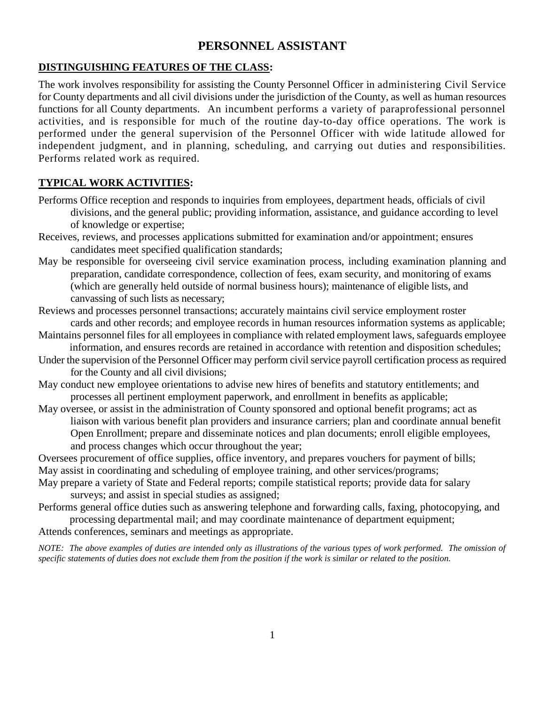## **PERSONNEL ASSISTANT**

## **DISTINGUISHING FEATURES OF THE CLASS:**

The work involves responsibility for assisting the County Personnel Officer in administering Civil Service for County departments and all civil divisions under the jurisdiction of the County, as well as human resources functions for all County departments. An incumbent performs a variety of paraprofessional personnel activities, and is responsible for much of the routine day-to-day office operations. The work is performed under the general supervision of the Personnel Officer with wide latitude allowed for independent judgment, and in planning, scheduling, and carrying out duties and responsibilities. Performs related work as required.

## **TYPICAL WORK ACTIVITIES:**

- Performs Office reception and responds to inquiries from employees, department heads, officials of civil divisions, and the general public; providing information, assistance, and guidance according to level of knowledge or expertise;
- Receives, reviews, and processes applications submitted for examination and/or appointment; ensures candidates meet specified qualification standards;
- May be responsible for overseeing civil service examination process, including examination planning and preparation, candidate correspondence, collection of fees, exam security, and monitoring of exams (which are generally held outside of normal business hours); maintenance of eligible lists, and canvassing of such lists as necessary;
- Reviews and processes personnel transactions; accurately maintains civil service employment roster cards and other records; and employee records in human resources information systems as applicable;
- Maintains personnel files for all employees in compliance with related employment laws, safeguards employee information, and ensures records are retained in accordance with retention and disposition schedules;
- Under the supervision of the Personnel Officer may perform civil service payroll certification process as required for the County and all civil divisions;
- May conduct new employee orientations to advise new hires of benefits and statutory entitlements; and processes all pertinent employment paperwork, and enrollment in benefits as applicable;
- May oversee, or assist in the administration of County sponsored and optional benefit programs; act as liaison with various benefit plan providers and insurance carriers; plan and coordinate annual benefit Open Enrollment; prepare and disseminate notices and plan documents; enroll eligible employees, and process changes which occur throughout the year;
- Oversees procurement of office supplies, office inventory, and prepares vouchers for payment of bills; May assist in coordinating and scheduling of employee training, and other services/programs;
- May prepare a variety of State and Federal reports; compile statistical reports; provide data for salary surveys; and assist in special studies as assigned;
- Performs general office duties such as answering telephone and forwarding calls, faxing, photocopying, and processing departmental mail; and may coordinate maintenance of department equipment;
- Attends conferences, seminars and meetings as appropriate.

*NOTE: The above examples of duties are intended only as illustrations of the various types of work performed. The omission of specific statements of duties does not exclude them from the position if the work is similar or related to the position.*